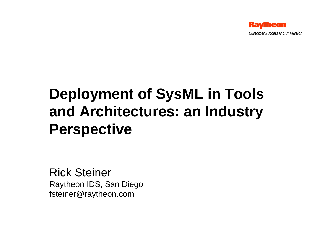

# **Deployment of SysML in Tools and Architectures: an Industry Perspective**

Rick Steiner Raytheon IDS, San Diego fsteiner@raytheon.com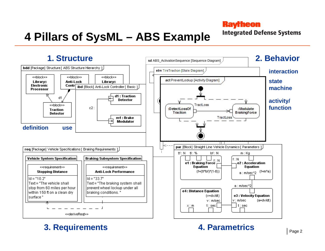# **4 Pillars of SysML – ABS Example**

#### **Raytheon**

**Integrated Defense Systems** 



#### **3. Requirements 4. Parametrics**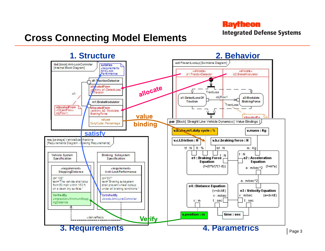**Integrated Defense Systems** 

### **Cross Connecting Model Elements**

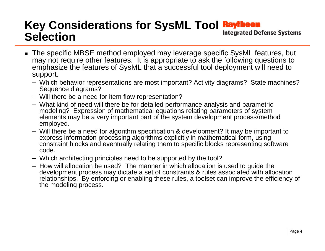### **Key Considerations for SysML Tool Raytheon**<br>Colocation **Selection**

- The specific MBSE method employed may leverage specific SysML features, but may not require other features. It is appropriate to ask the following questions to emphasize the features of SysML that a successful tool deployment will need to support.
	- Which behavior representations are most important? Activity diagrams? State machines? Sequence diagrams?
	- Will there be a need for item flow representation?
	- What kind of need will there be for detailed performance analysis and parametric modeling? Expression of mathematical equations relating parameters of system elements may be a very important part of the system development process/method employed.
	- Will there be a need for algorithm specification & development? It may be important to express information processing algorithms explicitly in mathematical form, using constraint blocks and eventually relating them to specific blocks representing software code.
	- Which architecting principles need to be supported by the tool?
	- How will allocation be used? The manner in which allocation is used to guide the development process may dictate a set of constraints & rules associated with allocation relationships. By enforcing or enabling these rules, a toolset can improve the efficiency of the modeling process.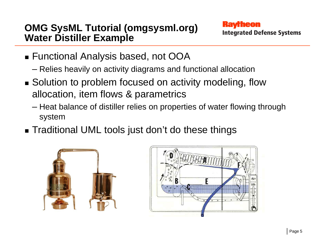### **OMG SysML Tutorial (omgsysml.org) Water Distiller Example**

- Functional Analysis based, not OOA
	- Relies heavily on activity diagrams and functional allocation
- Solution to problem focused on activity modeling, flow allocation, item flows & parametrics
	- Heat balance of distiller relies on properties of water flowing through system
- Traditional UML tools just don't do these things



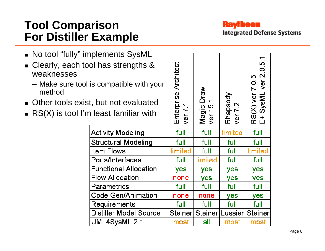### **Tool Comparison For Distiller Example**

 $\blacksquare$ 

 $\blacksquare$ 

 $\blacksquare$ 

**Raytheon Integrated Defense Systems** 

| No tool "fully" implements SysML<br><b>Clearly, each tool has strengths &amp;</b><br>weaknesses<br>- Make sure tool is compatible with your<br>method<br>• Other tools exist, but not evaluated<br>$\blacksquare$ RS(X) is tool I'm least familiar with |                               | Enterprise Architect<br>ver 7 | <b>Draw</b><br>$\overline{\phantom{0}}$<br>Magic<br>Ver 15. | Rhapsody<br>ver 7.2 | $\overline{\phantom{0}}$<br>RS(X) ver 7.0.5<br>E+ SysML ver 2.0.5 |
|---------------------------------------------------------------------------------------------------------------------------------------------------------------------------------------------------------------------------------------------------------|-------------------------------|-------------------------------|-------------------------------------------------------------|---------------------|-------------------------------------------------------------------|
|                                                                                                                                                                                                                                                         | <b>Activity Modeling</b>      |                               | full                                                        | limited             | full                                                              |
|                                                                                                                                                                                                                                                         | <b>Structural Modeling</b>    | full                          | full                                                        | full                | full                                                              |
|                                                                                                                                                                                                                                                         | <b>Item Flows</b>             | limited                       | full                                                        | full                | limited                                                           |
|                                                                                                                                                                                                                                                         | Ports/Interfaces              | full                          | limited                                                     | full                | full                                                              |
|                                                                                                                                                                                                                                                         | <b>Functional Allocation</b>  | <b>yes</b>                    | <b>yes</b>                                                  | yes                 | yes                                                               |
|                                                                                                                                                                                                                                                         | <b>Flow Allocation</b>        |                               | <b>yes</b>                                                  | yes                 | yes                                                               |
| Parametrics<br><b>Code Gen/Animation</b><br><b>Requirements</b>                                                                                                                                                                                         |                               | full                          | full                                                        | full                | full                                                              |
|                                                                                                                                                                                                                                                         |                               | none                          | none                                                        | yes                 | yes                                                               |
|                                                                                                                                                                                                                                                         |                               | full                          | full                                                        | full                | full                                                              |
|                                                                                                                                                                                                                                                         | <b>Distiller Model Source</b> |                               | <b>Steiner</b><br>Steiner                                   | Lussier             | <b>Steiner</b>                                                    |
|                                                                                                                                                                                                                                                         | most                          | all                           | most                                                        | most                |                                                                   |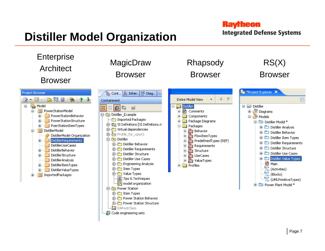# **Distiller Model Organization**

#### **Raytheon**

**Integrated Defense Systems** 

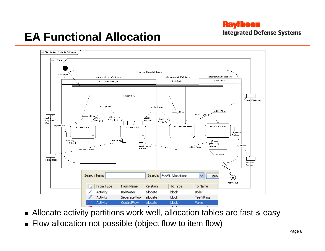**Integrated Defense Systems** 

### **EA Functional Allocation**



- Allocate activity partitions work well, allocation tables are fast & easy
- Flow allocation not possible (object flow to item flow)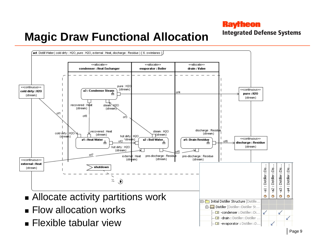**Integrated Defense Systems** 

### **Magic Draw Functional Allocation**

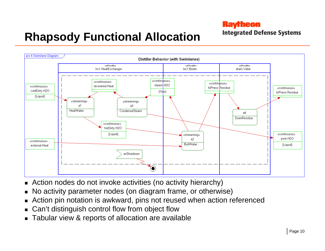**Integrated Defense Systems** 

## **Rhapsody Functional Allocation**

![](_page_9_Figure_3.jpeg)

- Action nodes do not invoke activities (no activity hierarchy)
- No activity parameter nodes (on diagram frame, or otherwise)
- Action pin notation is awkward, pins not reused when action referenced
- Can't distinguish control flow from object flow
- Tabular view & reports of allocation are available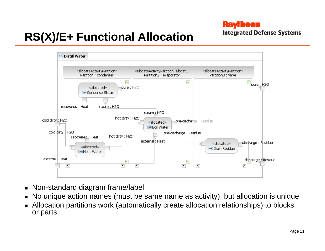#### **Ravrheon**

**Integrated Defense Systems** 

# **RS(X)/E+ Functional Allocation**

![](_page_10_Figure_3.jpeg)

- Non-standard diagram frame/label
- No unique action names (must be same name as activity), but allocation is unique
- Allocation partitions work (automatically create allocation relationships) to blocks or parts.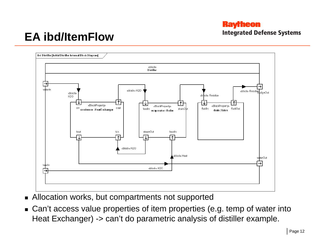#### **Raytheon Integrated Defense Systems**

### **EA ibd/ItemFlow**

![](_page_11_Figure_2.jpeg)

- Allocation works, but compartments not supported
- Can't access value properties of item properties (e.g. temp of water into Heat Exchanger) -> can't do parametric analysis of distiller example.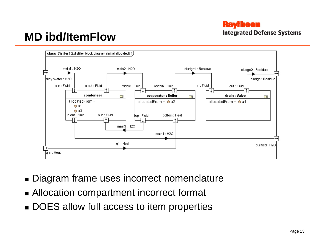#### **Ravrheon Integrated Defense Systems**

### **MD ibd/ItemFlow**

![](_page_12_Figure_2.jpeg)

- Diagram frame uses incorrect nomenclature
- Allocation compartment incorrect format
- DOES allow full access to item properties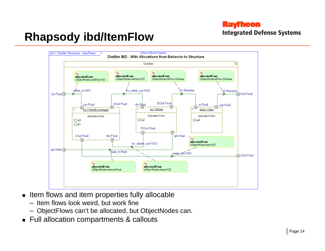**Integrated Defense Systems** 

### **Rhapsody ibd/ItemFlow**

![](_page_13_Figure_3.jpeg)

- $\textcolor{red}{\bullet}$  Item flows and item properties fully allocable
	- Item flows look weird, but work fine
	- ObjectFlows can't be allocated, but ObjectNodes can.
- Full allocation compartments & callouts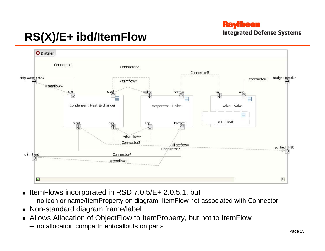#### **Ravrheon**

**Integrated Defense Systems** 

# **RS(X)/E+ ibd/ItemFlow**

![](_page_14_Figure_3.jpeg)

- ItemFlows incorporated in RSD 7.0.5/E+ 2.0.5.1, but
	- no icon or name/ItemProperty on diagram, ItemFlow not associated with Connector
- Non-standard diagram frame/label
- Allows Allocation of ObjectFlow to ItemProperty, but not to ItemFlow
	- –no allocation compartment/callouts on parts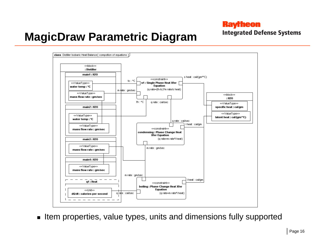**Integrated Defense Systems** 

### **MagicDraw Parametric Diagram**

![](_page_15_Figure_3.jpeg)

 $\bullet\,$  Item properties, value types, units and dimensions fully supported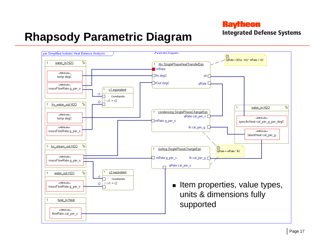**Integrated Defense Systems** 

### **Rhapsody Parametric Diagram**

![](_page_16_Figure_3.jpeg)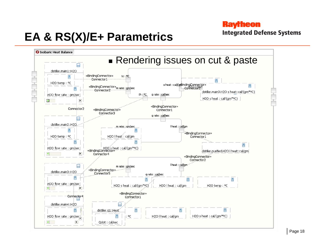## **EA & RS(X)/E+ Parametrics**

![](_page_17_Figure_1.jpeg)

**Raytheon** 

**Integrated Defense Systems**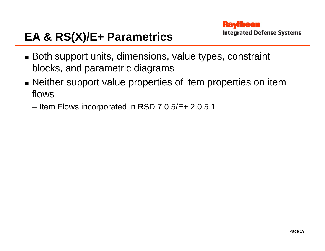#### **Ravrheon Integrated Defense Systems**

# **EA & RS(X)/E+ Parametrics**

- Both support units, dimensions, value types, constraint blocks, and parametric diagrams
- Neither support value properties of item properties on item flows
	- Item Flows incorporated in RSD 7.0.5/E+ 2.0.5.1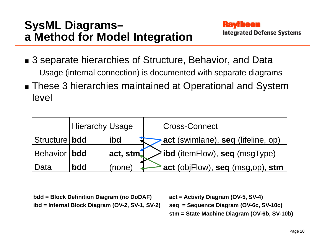### **SysML Diagrams– a Method for Model Integration**

- 3 separate hierarchies of Structure, Behavior, and Data
	- Usage (internal connection) is documented with separate diagrams
- These 3 hierarchies maintained at Operational and System level

|                | Hierarchy Usage |          | <b>Cross-Connect</b>                        |
|----------------|-----------------|----------|---------------------------------------------|
| Structure bdd  |                 | ibd      | act (swimlane), seq (lifeline, op)          |
| Behavior   bdd |                 | act, stm | $\frac{1}{2}$ ibd (itemFlow), seq (msgType) |
| l Data         | <b>bdd</b>      | (none    | act (objFlow), seq (msg,op), stm            |

**bdd = Block Definition Diagram (no DoDAF) ibd = Internal Block Diagram (OV-2, SV-1, SV-2)** **act = Activity Diagram (OV-5, SV-4) seq = Sequence Diagram (OV-6c, SV-10c) stm = State Machine Diagram (OV-6b, SV-10b)**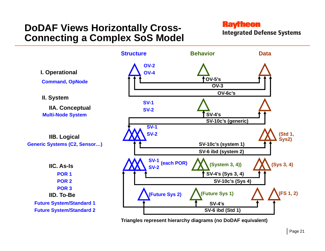### **DoDAF Views Horizontally Cross-Connecting a Complex SoS Model**

#### **Raytheon**

**Integrated Defense Systems** 

![](_page_20_Figure_3.jpeg)

**Triangles represent hierarchy diagrams (no DoDAF equivalent)**